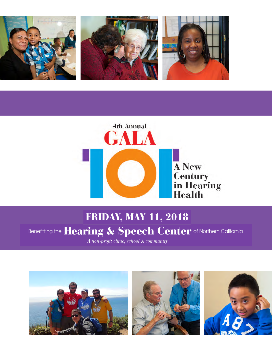



### **Healt**  $\textcolor{blue}{\bullet}$  SAVE THE DATE  $\textcolor{red}{\bullet}$  FRIDAY, MAY 11, 2018

# Benefitting the  $\textbf{Hearing} \& \textbf{Spec} \textbf{h} \textbf{ Center}$  of Northern California

*A non-profit clinic, school & community* 

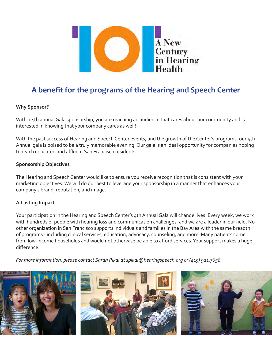

## **A benefit for the programs of the Hearing and Speech Center**

#### **Why Sponsor?**

With a 4th annual Gala sponsorship, you are reaching an audience that cares about our community and is interested in knowing that your company cares as well!

With the past success of Hearing and Speech Center events, and the growth of the Center's programs, our 4th Annual gala is poised to be a truly memorable evening. Our gala is an ideal opportunity for companies hoping to reach educated and affluent San Francisco residents.

#### **Sponsorship Objectives**

The Hearing and Speech Center would like to ensure you receive recognition that is consistent with your marketing objectives. We will do our best to leverage your sponsorship in a manner that enhances your company's brand, reputation, and image.

#### **A Lasting Impact**

Your participation in the Hearing and Speech Center's 4th Annual Gala will change lives! Every week, we work with hundreds of people with hearing loss and communication challenges, and we are a leader in our field. No other organization in San Francisco supports individuals and families in the Bay Area with the same breadth of programs - including clinical services, education, advocacy, counseling, and more. Many patients come from low-income households and would not otherwise be able to afford services. Your support makes a huge difference!

*For more information, please contact Sarah Pikal at spikal@hearingspeech.org or (415) 921.7658.*





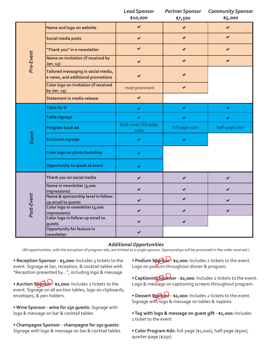|            |                                                                          | <b>Lead Sponsor</b><br>\$10,000 | <b>Partner Sponsor</b><br>\$7,500 | <b>Community Sponsor</b><br>\$5,000 |
|------------|--------------------------------------------------------------------------|---------------------------------|-----------------------------------|-------------------------------------|
|            | Name and logo on website                                                 | $\checkmark$                    | ✔                                 | $\blacktriangledown$                |
|            | Social media posts                                                       | $\checkmark$                    | $\blacktriangledown$              | $\checkmark$                        |
|            | "Thank you" in e-newsletter                                              | $\checkmark$                    | $\checkmark$                      | $\checkmark$                        |
| Pre-Event  | Name on invitation (if received by<br>Jan. 15)                           | $\blacktriangledown$            | $\checkmark$                      | $\checkmark$                        |
|            | Tailored messaging in social media,<br>e-news, and additional promotions | $\checkmark$                    |                                   |                                     |
|            | Color logo on invitation (if received<br>by Jan. 15)                     | most prominent                  | $\checkmark$                      |                                     |
|            | Statement in media release                                               | $\checkmark$                    |                                   |                                     |
|            | Table for 8                                                              | ✔                               | ✔                                 | ✔                                   |
|            | Table signage                                                            | $\checkmark$                    | ✔                                 | ✔                                   |
|            | Program book ad                                                          | back cover, full-page,<br>color | full-page color                   | half-page color                     |
| Event      | <b>Exclusive signage</b>                                                 | ✔                               |                                   |                                     |
|            | Color logo on photo backdrop                                             | ✔                               |                                   |                                     |
|            | Opportunity to speak at event                                            | ✔                               |                                   |                                     |
|            | Thank you on social media                                                | $\blacktriangledown$            | $\checkmark$                      | $\blacktriangledown$                |
|            | Name in newsletter (3,000<br>impressions)                                | ✔                               |                                   | ✔                                   |
|            | Name & sponsorship level in follow-<br>up email to guests                | ✔                               | ✔                                 | ✔                                   |
| Post-Event | Color logo in newsletter (3,000<br>impressions)                          | $\blacktriangledown$            |                                   | $\blacktriangledown$                |
|            | Color logo in follow-up email to<br>guests                               | ✔                               | ✔                                 |                                     |
|            | Opportunity for feature in                                               |                                 |                                   |                                     |

#### *Additional Opportunities*

(All opportunities, with the exception of program ads, are limited to a single sponsor. Sponsorships will be processed in the order received.)

**• Reception Sponsor - \$3,000:** Includes 3 tickets to the event. Signage at bar, reception, & cocktail tables with "Reception presented by...", including logo & message.

**• Auction Sportof** - \$2,000: Includes 2 tickets to the event. Signage on all auction tables, logo on clipboards, envelopes, & pen holders.

**• Wine Sponsor - wine for 250 guests:** Signage with logo & message on bar & cocktail tables

**• Champagne Sponsor - champagne for 250 guests:** Signage with logo & message on bar & cocktail tables

**• Podium Sponsol - \$2,000:** Includes 2 tickets to the event. Logo on podium throughout dinner & program.

• Captioning Sponsor - \$2,000: Includes 2 tickets to the event. Logo & message on captioning screens throughout program.

• Dessert **Sponsor** - \$2,000: Includes 2 tickets to the event. Signage with logo & message on tables & napkins

**• Tag with logo & message on guest gift - \$1,000:** Includes 1 ticket to the event

**• Color Program Ads:** full-page (\$1,000), half-page (\$500), quarter-page (\$250)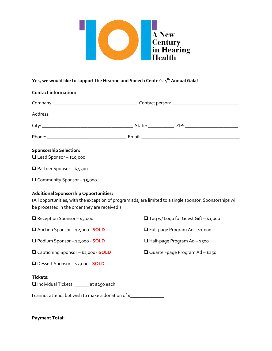

#### **Yes, we would like to support the Hearing and Speech Center's 4th Annual Gala!**

| <b>Contact information:</b>                                                                                                                                                                                |  |                                        |                                             |  |  |
|------------------------------------------------------------------------------------------------------------------------------------------------------------------------------------------------------------|--|----------------------------------------|---------------------------------------------|--|--|
|                                                                                                                                                                                                            |  |                                        |                                             |  |  |
|                                                                                                                                                                                                            |  |                                        |                                             |  |  |
|                                                                                                                                                                                                            |  |                                        |                                             |  |  |
|                                                                                                                                                                                                            |  |                                        |                                             |  |  |
| <b>Sponsorship Selection:</b><br>$\Box$ Lead Sponsor - \$10,000                                                                                                                                            |  |                                        |                                             |  |  |
| $\Box$ Partner Sponsor - \$7,500                                                                                                                                                                           |  |                                        |                                             |  |  |
| □ Community Sponsor - \$5,000                                                                                                                                                                              |  |                                        |                                             |  |  |
| <b>Additional Sponsorship Opportunities:</b><br>(All opportunities, with the exception of program ads, are limited to a single sponsor. Sponsorships will<br>be processed in the order they are received.) |  |                                        |                                             |  |  |
| $\Box$ Reception Sponsor - \$3,000                                                                                                                                                                         |  |                                        | $\Box$ Tag w/ Logo for Guest Gift - \$1,000 |  |  |
| □ Auction Sponsor - \$2,000 - SOLD                                                                                                                                                                         |  |                                        | $\Box$ Full-page Program Ad - \$1,000       |  |  |
| Podium Sponsor - \$2,000 - SOLD                                                                                                                                                                            |  |                                        | $\Box$ Half-page Program Ad - \$500         |  |  |
| □ Captioning Sponsor - \$2,000 - SOLD                                                                                                                                                                      |  | $\Box$ Quarter-page Program Ad - \$250 |                                             |  |  |
| □ Dessert Sponsor - \$2,000 - SOLD                                                                                                                                                                         |  |                                        |                                             |  |  |
| <b>Tickets:</b><br>Individual Tickets: ______ at \$250 each                                                                                                                                                |  |                                        |                                             |  |  |
| I cannot attend, but wish to make a donation of \$                                                                                                                                                         |  |                                        |                                             |  |  |

**Payment Total: \_\_\_\_\_\_\_\_\_\_\_\_\_\_\_\_\_\_**